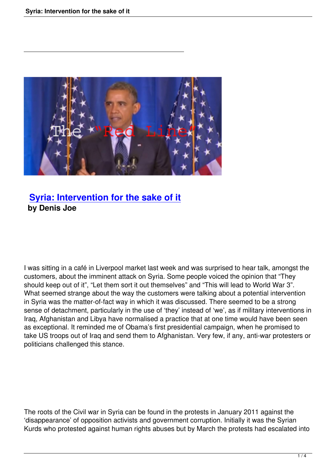

## **Syria: Intervention for the sake of it by Denis Joe**

I was sitting in a café in Liverpool market last week and was surprised to hear talk, amongst the customers, about the imminent attack on Syria. Some people voiced the opinion that "They should keep out of it", "Let them sort it out themselves" and "This will lead to World War 3". What seemed strange about the way the customers were talking about a potential intervention in Syria was the matter-of-fact way in which it was discussed. There seemed to be a strong sense of detachment, particularly in the use of 'they' instead of 'we', as if military interventions in Iraq, Afghanistan and Libya have normalised a practice that at one time would have been seen as exceptional. It reminded me of Obama's first presidential campaign, when he promised to take US troops out of Iraq and send them to Afghanistan. Very few, if any, anti-war protesters or politicians challenged this stance.

The roots of the Civil war in Syria can be found in the protests in January 2011 against the 'disappearance' of opposition activists and government corruption. Initially it was the Syrian Kurds who protested against human rights abuses but by March the protests had escalated into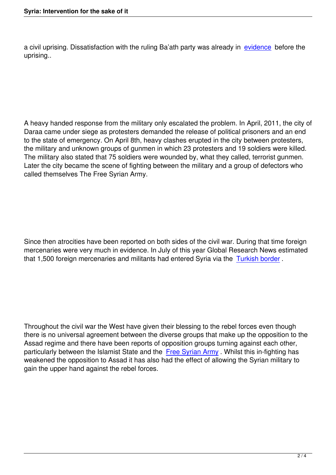a civil uprising. Dissatisfaction with the ruling Ba'ath party was already in evidence before the uprising..

A heavy handed response from the military only escalated the problem. In April, 2011, the city of Daraa came under siege as protesters demanded the release of political prisoners and an end to the state of emergency. On April 8th, heavy clashes erupted in the city between protesters, the military and unknown groups of gunmen in which 23 protesters and 19 soldiers were killed. The military also stated that 75 soldiers were wounded by, what they called, terrorist gunmen. Later the city became the scene of fighting between the military and a group of defectors who called themselves The Free Syrian Army.

Since then atrocities have been reported on both sides of the civil war. During that time foreign mercenaries were very much in evidence. In July of this year Global Research News estimated that 1,500 foreign mercenaries and militants had entered Syria via the Turkish border .

Throughout the civil war the West have given their blessing to the rebel forces even though there is no universal agreement between the diverse groups that make up the opposition to the Assad regime and there have been reports of opposition groups turning against each other, particularly between the Islamist State and the Free Syrian Army . Whilst this in-fighting has weakened the opposition to Assad it has also had the effect of allowing the Syrian military to gain the upper hand against the rebel forces.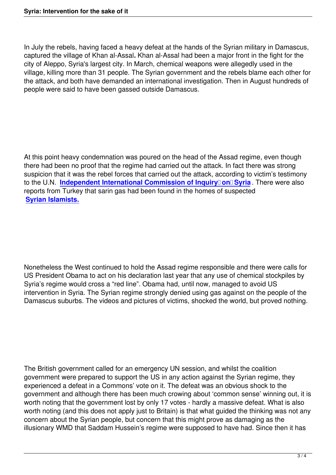In July the rebels, having faced a heavy defeat at the hands of the Syrian military in Damascus, captured the village of Khan al-Assal*.* Khan al-Assal had been a major front in the fight for the city of Aleppo, Syria's largest city. In March, chemical weapons were allegedly used in the village, killing more than 31 people. The Syrian government and the rebels blame each other for the attack, and both have demanded an international investigation. Then in August hundreds of people were said to have been gassed outside Damascus.

At this point heavy condemnation was poured on the head of the Assad regime, even though there had been no proof that the regime had carried out the attack. In fact there was strong suspicion that it was the rebel forces that carried out the attack, according to victim's testimony to the U.N. Independent International Commission of Inquiry<sup>n</sup> on Syria. There were also reports from Turkey that sarin gas had been found in the homes of suspected **Syrian Islamists.**

Nonetheless the West continued to hold the Assad regime responsible and there were calls for US President Obama to act on his declaration last year that any use of chemical stockpiles by Syria's regime would cross a "red line". Obama had, until now, managed to avoid US intervention in Syria. The Syrian regime strongly denied using gas against on the people of the Damascus suburbs. The videos and pictures of victims, shocked the world, but proved nothing.

The British government called for an emergency UN session, and whilst the coalition government were prepared to support the US in any action against the Syrian regime, they experienced a defeat in a Commons' vote on it. The defeat was an obvious shock to the government and although there has been much crowing about 'common sense' winning out, it is worth noting that the government lost by only 17 votes - hardly a massive defeat. What is also worth noting (and this does not apply just to Britain) is that what quided the thinking was not any concern about the Syrian people, but concern that this might prove as damaging as the illusionary WMD that Saddam Hussein's regime were supposed to have had. Since then it has